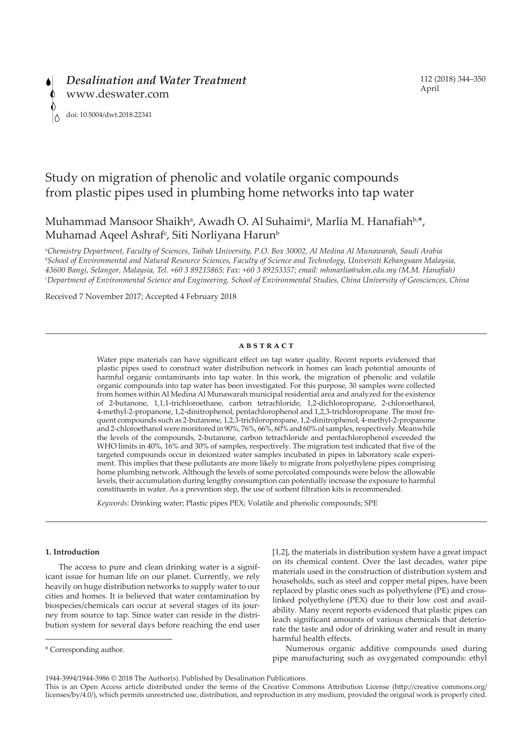# Study on migration of phenolic and volatile organic compounds from plastic pipes used in plumbing home networks into tap water

## Muhammad Mansoor Shaikh<sup>a</sup>, Awadh O. Al Suhaimi<sup>a</sup>, Marlia M. Hanafiah<sup>b,\*</sup>, Muhamad Aqeel Ashraf<sup>c</sup>, Siti Norliyana Harun<sup>b</sup>

*a Chemistry Department, Faculty of Sciences, Taibah University, P.O. Box 30002, Al Medina Al Munawarah, Saudi Arabia b School of Environmental and Natural Resource Sciences, Faculty of Science and Technology, Universiti Kebangsaan Malaysia, 43600 Bangi, Selangor, Malaysia, Tel. +60 3 89215865; Fax: +60 3 89253357; email: mhmarlia@ukm.edu.my (M.M. Hanafiah) c Department of Environmental Science and Engineering, School of Environmental Studies, China University of Geosciences, China*

Received 7 November 2017; Accepted 4 February 2018

#### **ABSTRACT**

Water pipe materials can have significant effect on tap water quality. Recent reports evidenced that plastic pipes used to construct water distribution network in homes can leach potential amounts of harmful organic contaminants into tap water. In this work, the migration of phenolic and volatile organic compounds into tap water has been investigated. For this purpose, 30 samples were collected from homes within Al Medina Al Munawarah municipal residential area and analyzed for the existence of 2-butanone, 1,1,1-trichloroethane, carbon tetrachloride, 1,2-dichloropropane, 2-chloroethanol, 4-methyl-2-propanone, 1,2-dinitrophenol, pentachlorophenol and 1,2,3-trichloropropane. The most frequent compounds such as 2-butanone, 1,2,3-trichloropropane, 1,2-dinitrophenol, 4-methyl-2-propanone and 2-chloroethanol were monitored in 90%, 76%, 66%, 60% and 60% of samples, respectively. Meanwhile the levels of the compounds, 2-butanone, carbon tetrachloride and pentachlorophenol exceeded the WHO limits in 40%, 16% and 30% of samples, respectively. The migration test indicated that five of the targeted compounds occur in deionized water samples incubated in pipes in laboratory scale experiment. This implies that these pollutants are more likely to migrate from polyethylene pipes comprising home plumbing network. Although the levels of some percolated compounds were below the allowable levels, their accumulation during lengthy consumption can potentially increase the exposure to harmful constituents in water. As a prevention step, the use of sorbent filtration kits is recommended.

*Keywords:* Drinking water; Plastic pipes PEX; Volatile and phenolic compounds; SPE

## **1. Introduction**

The access to pure and clean drinking water is a significant issue for human life on our planet. Currently, we rely heavily on huge distribution networks to supply water to our cities and homes. It is believed that water contamination by biospecies/chemicals can occur at several stages of its journey from source to tap. Since water can reside in the distribution system for several days before reaching the end user [1,2], the materials in distribution system have a great impact on its chemical content. Over the last decades, water pipe materials used in the construction of distribution system and households, such as steel and copper metal pipes, have been replaced by plastic ones such as polyethylene (PE) and crosslinked polyethylene (PEX) due to their low cost and availability. Many recent reports evidenced that plastic pipes can leach significant amounts of various chemicals that deteriorate the taste and odor of drinking water and result in many harmful health effects.

Numerous organic additive compounds used during pipe manufacturing such as oxygenated compounds: ethyl

<sup>\*</sup> Corresponding author.

<sup>1944-3994/1944-3986 © 2018</sup> The Author(s). Published by Desalination Publications.

This is an Open Access article distributed under the terms of the Creative Commons Attribution License (http://creative commons.org/ licenses/by/4.0/), which permits unrestricted use, distribution, and reproduction in any medium, provided the original work is properly cited.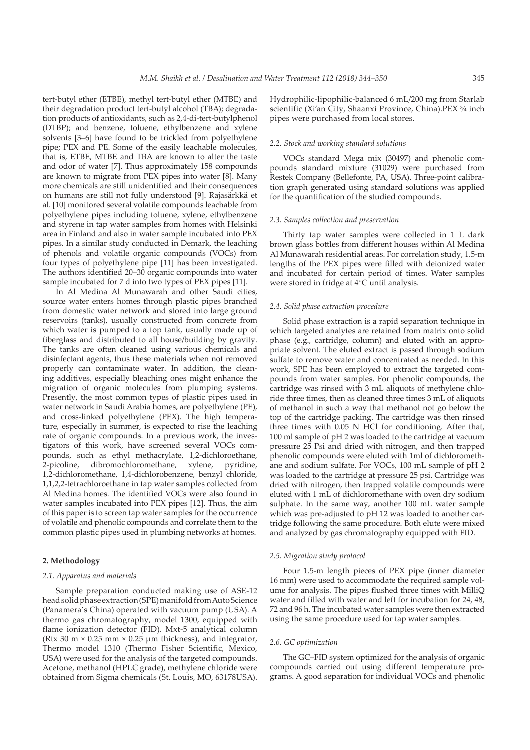tert-butyl ether (ETBE), methyl tert-butyl ether (MTBE) and their degradation product tert-butyl alcohol (TBA); degradation products of antioxidants, such as 2,4-di-tert-butylphenol (DTBP); and benzene, toluene, ethylbenzene and xylene solvents [3–6] have found to be trickled from polyethylene pipe; PEX and PE. Some of the easily leachable molecules, that is, ETBE, MTBE and TBA are known to alter the taste and odor of water [7]. Thus approximately 158 compounds are known to migrate from PEX pipes into water [8]. Many more chemicals are still unidentified and their consequences on humans are still not fully understood [9]. Rajasärkkä et al. [10] monitored several volatile compounds leachable from polyethylene pipes including toluene, xylene, ethylbenzene and styrene in tap water samples from homes with Helsinki area in Finland and also in water sample incubated into PEX pipes. In a similar study conducted in Demark, the leaching of phenols and volatile organic compounds (VOCs) from four types of polyethylene pipe [11] has been investigated. The authors identified 20–30 organic compounds into water sample incubated for 7 d into two types of PEX pipes [11].

In Al Medina Al Munawarah and other Saudi cities, source water enters homes through plastic pipes branched from domestic water network and stored into large ground reservoirs (tanks), usually constructed from concrete from which water is pumped to a top tank, usually made up of fiberglass and distributed to all house/building by gravity. The tanks are often cleaned using various chemicals and disinfectant agents, thus these materials when not removed properly can contaminate water. In addition, the cleaning additives, especially bleaching ones might enhance the migration of organic molecules from plumping systems. Presently, the most common types of plastic pipes used in water network in Saudi Arabia homes, are polyethylene (PE), and cross-linked polyethylene (PEX). The high temperature, especially in summer, is expected to rise the leaching rate of organic compounds. In a previous work, the investigators of this work, have screened several VOCs compounds, such as ethyl methacrylate, 1,2-dichloroethane, 2-picoline, dibromochloromethane, xylene, 1,2-dichloromethane, 1,4-dichlorobenzene, benzyl chloride, 1,1,2,2-tetrachloroethane in tap water samples collected from Al Medina homes. The identified VOCs were also found in water samples incubated into PEX pipes [12]. Thus, the aim of this paper is to screen tap water samples for the occurrence of volatile and phenolic compounds and correlate them to the common plastic pipes used in plumbing networks at homes.

#### **2. Methodology**

#### *2.1. Apparatus and materials*

Sample preparation conducted making use of ASE-12 head solid phase extraction (SPE) manifold from Auto Science (Panamera's China) operated with vacuum pump (USA). A thermo gas chromatography, model 1300, equipped with flame ionization detector (FID). Mxt-5 analytical column (Rtx 30 m  $\times$  0.25 mm  $\times$  0.25 µm thickness), and integrator, Thermo model 1310 (Thermo Fisher Scientific, Mexico, USA) were used for the analysis of the targeted compounds. Acetone, methanol (HPLC grade), methylene chloride were obtained from Sigma chemicals (St. Louis, MO, 63178USA).

Hydrophilic-lipophilic-balanced 6 mL/200 mg from Starlab scientific (Xi'an City, Shaanxi Province, China).PEX ¾ inch pipes were purchased from local stores.

#### *2.2. Stock and working standard solutions*

VOCs standard Mega mix (30497) and phenolic compounds standard mixture (31029) were purchased from Restek Company (Bellefonte, PA, USA). Three-point calibration graph generated using standard solutions was applied for the quantification of the studied compounds.

## *2.3. Samples collection and preservation*

Thirty tap water samples were collected in 1 L dark brown glass bottles from different houses within Al Medina Al Munawarah residential areas. For correlation study, 1.5-m lengths of the PEX pipes were filled with deionized water and incubated for certain period of times. Water samples were stored in fridge at 4°C until analysis.

#### *2.4. Solid phase extraction procedure*

Solid phase extraction is a rapid separation technique in which targeted analytes are retained from matrix onto solid phase (e.g., cartridge, column) and eluted with an appropriate solvent. The eluted extract is passed through sodium sulfate to remove water and concentrated as needed. In this work, SPE has been employed to extract the targeted compounds from water samples. For phenolic compounds, the cartridge was rinsed with 3 mL aliquots of methylene chloride three times, then as cleaned three times 3 mL of aliquots of methanol in such a way that methanol not go below the top of the cartridge packing. The cartridge was then rinsed three times with 0.05 N HCl for conditioning. After that, 100 ml sample of pH 2 was loaded to the cartridge at vacuum pressure 25 Psi and dried with nitrogen, and then trapped phenolic compounds were eluted with 1ml of dichloromethane and sodium sulfate. For VOCs, 100 mL sample of pH 2 was loaded to the cartridge at pressure 25 psi. Cartridge was dried with nitrogen, then trapped volatile compounds were eluted with 1 mL of dichloromethane with oven dry sodium sulphate. In the same way, another 100 mL water sample which was pre-adjusted to pH 12 was loaded to another cartridge following the same procedure. Both elute were mixed and analyzed by gas chromatography equipped with FID.

#### *2.5. Migration study protocol*

Four 1.5-m length pieces of PEX pipe (inner diameter 16 mm) were used to accommodate the required sample volume for analysis. The pipes flushed three times with MilliQ water and filled with water and left for incubation for 24, 48, 72 and 96 h. The incubated water samples were then extracted using the same procedure used for tap water samples.

#### *2.6. GC optimization*

The GC–FID system optimized for the analysis of organic compounds carried out using different temperature programs. A good separation for individual VOCs and phenolic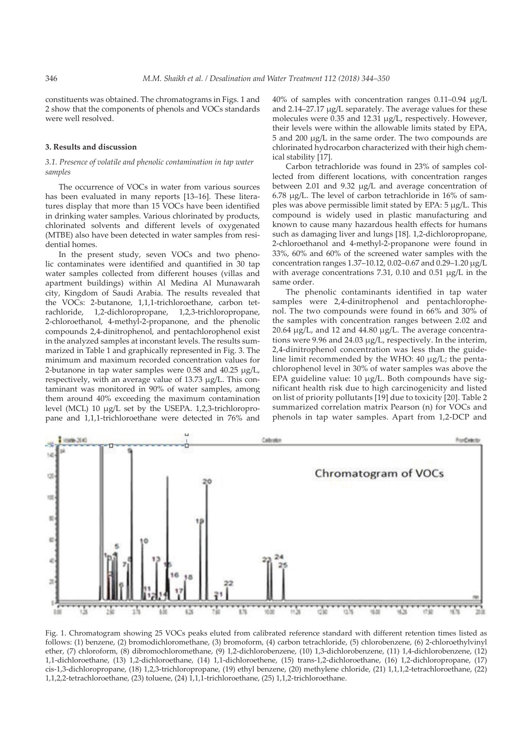constituents was obtained. The chromatograms in Figs. 1 and 2 show that the components of phenols and VOCs standards were well resolved.

#### **3. Results and discussion**

## *3.1. Presence of volatile and phenolic contamination in tap water samples*

The occurrence of VOCs in water from various sources has been evaluated in many reports [13–16]. These literatures display that more than 15 VOCs have been identified in drinking water samples. Various chlorinated by products, chlorinated solvents and different levels of oxygenated (MTBE) also have been detected in water samples from residential homes.

In the present study, seven VOCs and two phenolic contaminates were identified and quantified in 30 tap water samples collected from different houses (villas and apartment buildings) within Al Medina Al Munawarah city, Kingdom of Saudi Arabia. The results revealed that the VOCs: 2-butanone, 1,1,1-trichloroethane, carbon tetrachloride, 1,2-dichloropropane, 1,2,3-trichloropropane, 2-chloroethanol, 4-methyl-2-propanone, and the phenolic compounds 2,4-dinitrophenol, and pentachlorophenol exist in the analyzed samples at inconstant levels. The results summarized in Table 1 and graphically represented in Fig. 3. The minimum and maximum recorded concentration values for 2-butanone in tap water samples were 0.58 and 40.25 µg/L, respectively, with an average value of 13.73 µg/L. This contaminant was monitored in 90% of water samples, among them around 40% exceeding the maximum contamination level (MCL) 10 µg/L set by the USEPA. 1,2,3-trichloropropane and 1,1,1-trichloroethane were detected in 76% and 40% of samples with concentration ranges 0.11–0.94 µg/L and 2.14–27.17 µg/L separately. The average values for these molecules were 0.35 and 12.31 µg/L, respectively. However, their levels were within the allowable limits stated by EPA, 5 and 200 µg/L in the same order. The two compounds are chlorinated hydrocarbon characterized with their high chemical stability [17].

Carbon tetrachloride was found in 23% of samples collected from different locations, with concentration ranges between 2.01 and 9.32 µg/L and average concentration of 6.78 µg/L. The level of carbon tetrachloride in 16% of samples was above permissible limit stated by EPA: 5 µg/L. This compound is widely used in plastic manufacturing and known to cause many hazardous health effects for humans such as damaging liver and lungs [18]. 1,2-dichloropropane, 2-chloroethanol and 4-methyl-2-propanone were found in 33%, 60% and 60% of the screened water samples with the concentration ranges 1.37–10.12, 0.02–0.67 and 0.29–1.20 µg/L with average concentrations 7.31, 0.10 and 0.51 µg/L in the same order.

The phenolic contaminants identified in tap water samples were 2,4-dinitrophenol and pentachlorophenol. The two compounds were found in 66% and 30% of the samples with concentration ranges between 2.02 and 20.64  $\mu$ g/L, and 12 and 44.80  $\mu$ g/L. The average concentrations were 9.96 and 24.03 µg/L, respectively. In the interim, 2,4-dinitrophenol concentration was less than the guideline limit recommended by the WHO: 40 µg/L; the pentachlorophenol level in 30% of water samples was above the EPA guideline value: 10 µg/L. Both compounds have significant health risk due to high carcinogenicity and listed on list of priority pollutants [19] due to toxicity [20]. Table 2 summarized correlation matrix Pearson (n) for VOCs and phenols in tap water samples. Apart from 1,2-DCP and



Fig. 1. Chromatogram showing 25 VOCs peaks eluted from calibrated reference standard with different retention times listed as follows: (1) benzene, (2) bromodichloromethane, (3) bromoform, (4) carbon tetrachloride, (5) chlorobenzene, (6) 2-chloroethylvinyl ether, (7) chloroform, (8) dibromochloromethane, (9) 1,2-dichlorobenzene, (10) 1,3-dichlorobenzene, (11) 1,4-dichlorobenzene, (12) 1,1-dichloroethane, (13) 1,2-dichloroethane, (14) 1,1-dichloroethene, (15) trans-1,2-dichloroethane, (16) 1,2-dichloropropane, (17) cis-1,3-dichloropropane, (18) 1,2,3-trichloropropane, (19) ethyl benzene, (20) methylene chloride, (21) 1,1,1,2-tetrachloroethane, (22) 1,1,2,2-tetrachloroethane, (23) toluene, (24) 1,1,1-trichloroethane, (25) 1,1,2-trichloroethane.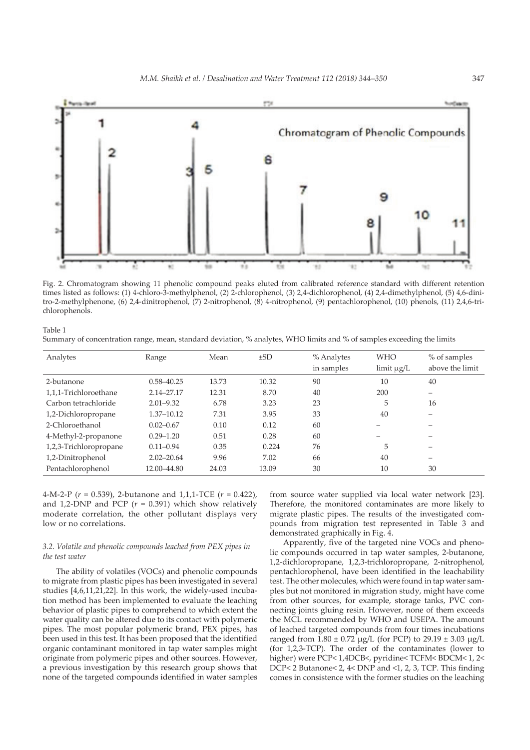

Fig. 2. Chromatogram showing 11 phenolic compound peaks eluted from calibrated reference standard with different retention times listed as follows: (1) 4-chloro-3-methylphenol, (2) 2-chlorophenol, (3) 2,4-dichlorophenol, (4) 2,4-dimethylphenol, (5) 4,6-dinitro-2-methylphenone, (6) 2,4-dinitrophenol, (7) 2-nitrophenol, (8) 4-nitrophenol, (9) pentachlorophenol, (10) phenols, (11) 2,4,6-trichlorophenols.

Table 1 Summary of concentration range, mean, standard deviation, % analytes, WHO limits and % of samples exceeding the limits

| Analytes               | Range          | Mean  | $\pm$ SD | % Analytes<br>in samples | <b>WHO</b><br>$\lim$ it $\mu$ g/L | % of samples<br>above the limit |
|------------------------|----------------|-------|----------|--------------------------|-----------------------------------|---------------------------------|
| 2-butanone             | $0.58 - 40.25$ | 13.73 | 10.32    | 90                       | 10                                | 40                              |
| 1,1,1-Trichloroethane  | 2.14-27.17     | 12.31 | 8.70     | 40                       | 200                               | —                               |
| Carbon tetrachloride   | $2.01 - 9.32$  | 6.78  | 3.23     | 23                       | 5                                 | 16                              |
| 1,2-Dichloropropane    | 1.37-10.12     | 7.31  | 3.95     | 33                       | 40                                |                                 |
| 2-Chloroethanol        | $0.02 - 0.67$  | 0.10  | 0.12     | 60                       |                                   |                                 |
| 4-Methyl-2-propanone   | $0.29 - 1.20$  | 0.51  | 0.28     | 60                       |                                   |                                 |
| 1,2,3-Trichloropropane | $0.11 - 0.94$  | 0.35  | 0.224    | 76                       | 5                                 |                                 |
| 1,2-Dinitrophenol      | $2.02 - 20.64$ | 9.96  | 7.02     | 66                       | 40                                |                                 |
| Pentachlorophenol      | 12.00-44.80    | 24.03 | 13.09    | 30                       | 10                                | 30                              |

4-M-2-P (*r* = 0.539), 2-butanone and 1,1,1-TCE (*r* = 0.422), and 1,2-DNP and PCP  $(r = 0.391)$  which show relatively moderate correlation, the other pollutant displays very low or no correlations.

## *3.2. Volatile and phenolic compounds leached from PEX pipes in the test water*

The ability of volatiles (VOCs) and phenolic compounds to migrate from plastic pipes has been investigated in several studies [4,6,11,21,22]. In this work, the widely-used incubation method has been implemented to evaluate the leaching behavior of plastic pipes to comprehend to which extent the water quality can be altered due to its contact with polymeric pipes. The most popular polymeric brand, PEX pipes, has been used in this test. It has been proposed that the identified organic contaminant monitored in tap water samples might originate from polymeric pipes and other sources. However, a previous investigation by this research group shows that none of the targeted compounds identified in water samples

from source water supplied via local water network [23]. Therefore, the monitored contaminates are more likely to migrate plastic pipes. The results of the investigated compounds from migration test represented in Table 3 and demonstrated graphically in Fig. 4.

Apparently, five of the targeted nine VOCs and phenolic compounds occurred in tap water samples, 2-butanone, 1,2-dichloropropane, 1,2,3-trichloropropane, 2-nitrophenol, pentachlorophenol, have been identified in the leachability test. The other molecules, which were found in tap water samples but not monitored in migration study, might have come from other sources, for example, storage tanks, PVC connecting joints gluing resin. However, none of them exceeds the MCL recommended by WHO and USEPA. The amount of leached targeted compounds from four times incubations ranged from  $1.80 \pm 0.72 \mu g/L$  (for PCP) to  $29.19 \pm 3.03 \mu g/L$ (for 1,2,3-TCP). The order of the contaminates (lower to higher) were PCP< 1,4DCB<, pyridine< TCFM< BDCM< 1, 2< DCP< 2 Butanone< 2, 4< DNP and <1, 2, 3, TCP. This finding comes in consistence with the former studies on the leaching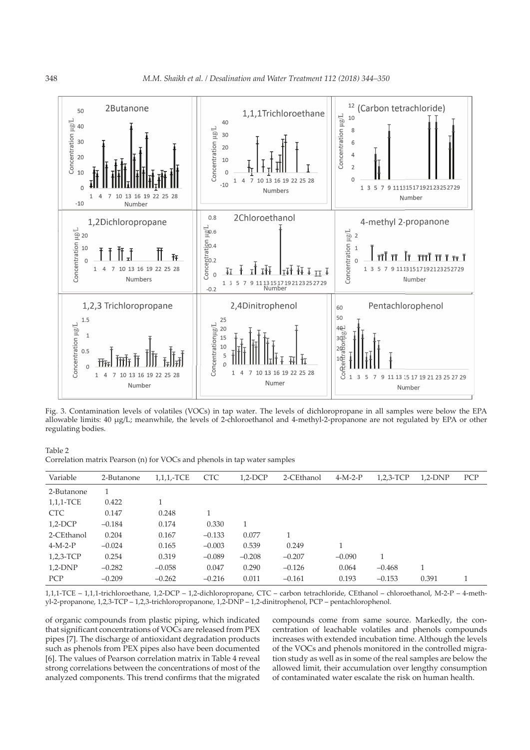

Fig. 3. Contamination levels of volatiles (VOCs) in tap water. The levels of dichloropropane in all samples were below the EPA allowable limits: 40 µg/L; meanwhile, the levels of 2-chloroethanol and 4-methyl-2-propanone are not regulated by EPA or other regulating bodies.

Table 2 Correlation matrix Pearson (n) for VOCs and phenols in tap water samples

| Variable    | 2-Butanone | $1,1,1$ <sub>-TCE</sub> | <b>CTC</b> | $1,2$ -DCP | 2-CEthanol | $4-M-2-P$ | $1,2,3$ -TCP | $1,2-DNP$ | <b>PCP</b> |
|-------------|------------|-------------------------|------------|------------|------------|-----------|--------------|-----------|------------|
| 2-Butanone  | 1          |                         |            |            |            |           |              |           |            |
| 1,1,1-TCE   | 0.422      |                         |            |            |            |           |              |           |            |
| <b>CTC</b>  | 0.147      | 0.248                   |            |            |            |           |              |           |            |
| $1,2$ -DCP  | $-0.184$   | 0.174                   | 0.330      | 1          |            |           |              |           |            |
| 2-CEthanol  | 0.204      | 0.167                   | $-0.133$   | 0.077      |            |           |              |           |            |
| $4-M-2-P$   | $-0.024$   | 0.165                   | $-0.003$   | 0.539      | 0.249      | 1         |              |           |            |
| $1,2,3-TCP$ | 0.254      | 0.319                   | $-0.089$   | $-0.208$   | $-0.207$   | $-0.090$  |              |           |            |
| $1,2-DNP$   | $-0.282$   | $-0.058$                | 0.047      | 0.290      | $-0.126$   | 0.064     | $-0.468$     |           |            |
| <b>PCP</b>  | $-0.209$   | $-0.262$                | $-0.216$   | 0.011      | $-0.161$   | 0.193     | $-0.153$     | 0.391     | 1          |

1,1,1-TCE – 1,1,1-trichloroethane, 1,2-DCP – 1,2-dichloropropane, CTC – carbon tetrachloride, CEthanol – chloroethanol, M-2-P – 4-methyl-2-propanone, 1,2,3-TCP – 1,2,3-trichloropropanone, 1,2-DNP – 1,2-dinitrophenol, PCP – pentachlorophenol.

of organic compounds from plastic piping, which indicated that significant concentrations of VOCs are released from PEX pipes [7]. The discharge of antioxidant degradation products such as phenols from PEX pipes also have been documented [6]. The values of Pearson correlation matrix in Table 4 reveal strong correlations between the concentrations of most of the analyzed components. This trend confirms that the migrated

compounds come from same source. Markedly, the concentration of leachable volatiles and phenols compounds increases with extended incubation time. Although the levels of the VOCs and phenols monitored in the controlled migration study as well as in some of the real samples are below the allowed limit, their accumulation over lengthy consumption of contaminated water escalate the risk on human health.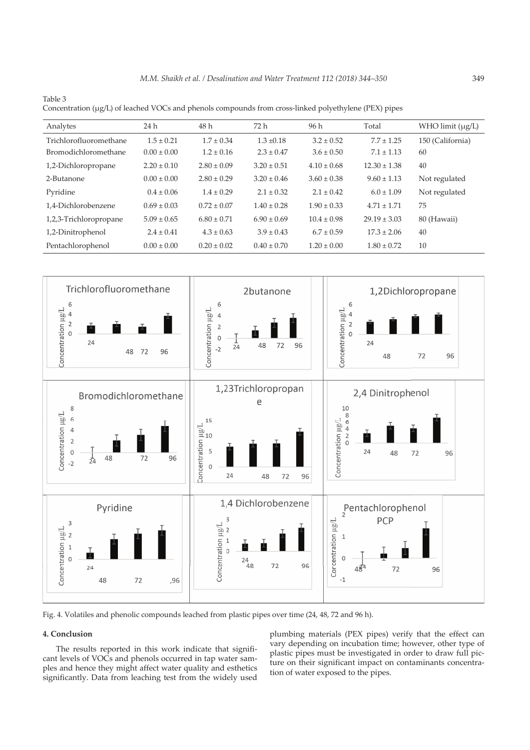$\mathbf{J}_\text{c}$  (agrees the least  $\mathbf{J}_\text{c}$  and phenols compounds from cross-linked polyethylene (PEX) pipes (

| Concentration (µg/L) of leached VOCs and phenois compounds from cross-intixed polyethylene (FEA) pipes |                 |                 |                 |                 |                  |                  |  |  |  |
|--------------------------------------------------------------------------------------------------------|-----------------|-----------------|-----------------|-----------------|------------------|------------------|--|--|--|
| Analytes                                                                                               | 24 h            | 48 h            | 72 h            | 96 h            | Total            | WHO limit (µg/L) |  |  |  |
| Trichlorofluoromethane                                                                                 | $1.5 \pm 0.21$  | $1.7 \pm 0.34$  | $1.3 \pm 0.18$  | $3.2 \pm 0.52$  | $7.7 \pm 1.25$   | 150 (California) |  |  |  |
| Bromodichloromethane                                                                                   | $0.00 \pm 0.00$ | $1.2 \pm 0.16$  | $2.3 \pm 0.47$  | $3.6 \pm 0.50$  | $7.1 \pm 1.13$   | 60               |  |  |  |
| 1,2-Dichloropropane                                                                                    | $2.20 \pm 0.10$ | $2.80 \pm 0.09$ | $3.20 \pm 0.51$ | $4.10 \pm 0.68$ | $12.30 \pm 1.38$ | 40               |  |  |  |
| 2-Butanone                                                                                             | $0.00 \pm 0.00$ | $2.80 \pm 0.29$ | $3.20 \pm 0.46$ | $3.60 \pm 0.38$ | $9.60 \pm 1.13$  | Not regulated    |  |  |  |
| Pyridine                                                                                               | $0.4 \pm 0.06$  | $1.4 \pm 0.29$  | $2.1 \pm 0.32$  | $2.1 \pm 0.42$  | $6.0 \pm 1.09$   | Not regulated    |  |  |  |
| 1,4-Dichlorobenzene                                                                                    | $0.69 \pm 0.03$ | $0.72 \pm 0.07$ | $1.40 \pm 0.28$ | $1.90 \pm 0.33$ | $4.71 \pm 1.71$  | 75               |  |  |  |
| 1,2,3-Trichloropropane                                                                                 | $5.09 \pm 0.65$ | $6.80 \pm 0.71$ | $6.90 \pm 0.69$ | $10.4 \pm 0.98$ | $29.19 \pm 3.03$ | 80 (Hawaii)      |  |  |  |
| 1,2-Dinitrophenol                                                                                      | $2.4 \pm 0.41$  | $4.3 \pm 0.63$  | $3.9 \pm 0.43$  | $6.7 \pm 0.59$  | $17.3 \pm 2.06$  | 40               |  |  |  |
| Pentachlorophenol                                                                                      | $0.00 \pm 0.00$ | $0.20 \pm 0.02$ | $0.40 \pm 0.70$ | $1.20 \pm 0.00$ | $1.80 \pm 0.72$  | 10               |  |  |  |



Fig. 4. Volatiles and phenolic compounds leached from plastic pipes over time (24, 48, 72 and 96 h).

## **4. Conclusion**

Table 3

The results reported in this work indicate that significant levels of VOCs and phenols occurred in tap water samples and hence they might affect water quality and esthetics significantly. Data from leaching test from the widely used plumbing materials (PEX pipes) verify that the effect can vary depending on incubation time; however, other type of plastic pipes must be investigated in order to draw full picture on their significant impact on contaminants concentration of water exposed to the pipes.